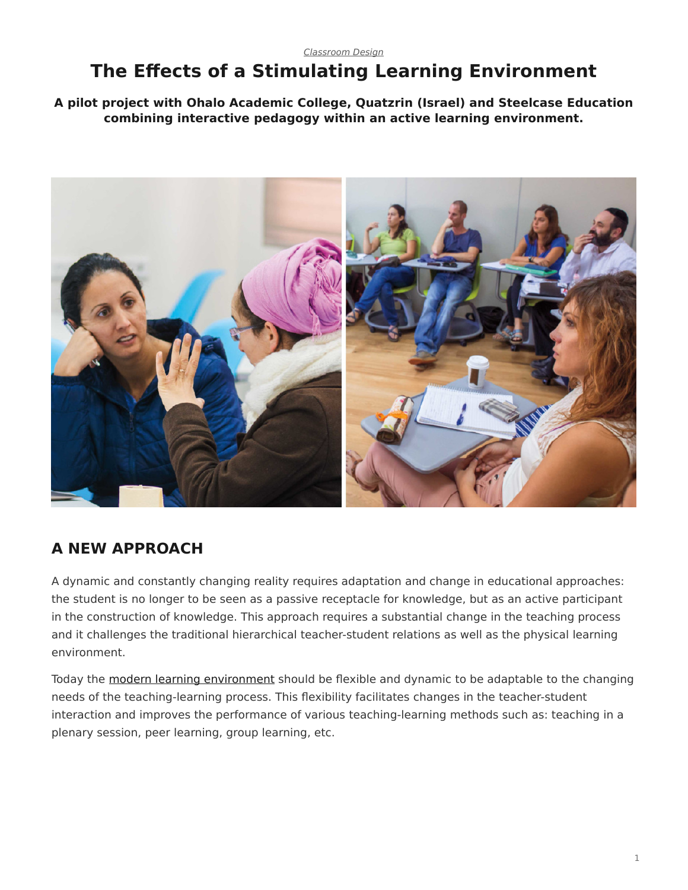#### <span id="page-0-0"></span>*[Classroom Design](https://www.steelcase.com/research/topics/classroom-design/)* **The Effects of a Stimulating Learning Environment**

**A pilot project with Ohalo Academic College, Quatzrin (Israel) and Steelcase Education combining interactive pedagogy within an active learning environment.**



### **A NEW APPROACH**

A dynamic and constantly changing reality requires adaptation and change in educational approaches: the student is no longer to be seen as a passive receptacle for knowledge, but as an active participant in the construction of knowledge. This approach requires a substantial change in the teaching process and it challenges the traditional hierarchical teacher-student relations as well as the physical learning environment.

Today the [modern learning environment](https://www.steelcase.com/discover/information/education/) should be flexible and dynamic to be adaptable to the changing needs of the teaching-learning process. This flexibility facilitates changes in the teacher-student interaction and improves the performance of various teaching-learning methods such as: teaching in a plenary session, peer learning, group learning, etc.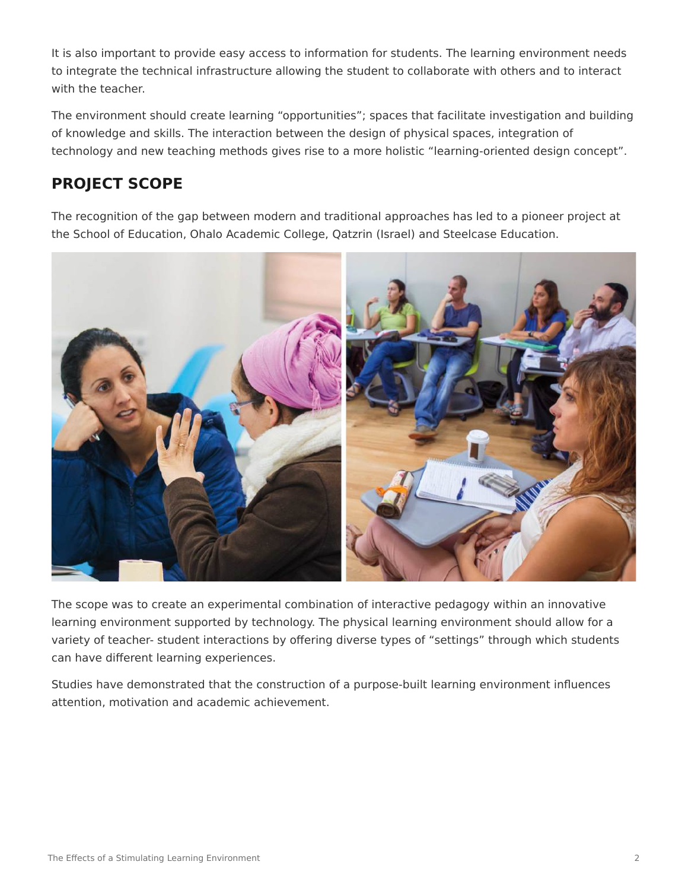It is also important to provide easy access to information for students. The learning environment needs to integrate the technical infrastructure allowing the student to collaborate with others and to interact with the teacher.

The environment should create learning "opportunities"; spaces that facilitate investigation and building of knowledge and skills. The interaction between the design of physical spaces, integration of technology and new teaching methods gives rise to a more holistic "learning-oriented design concept".

# **PROJECT SCOPE**

The recognition of the gap between modern and traditional approaches has led to a pioneer project at the School of Education, Ohalo Academic College, Qatzrin (Israel) and Steelcase Education.



The scope was to create an experimental combination of interactive pedagogy within an innovative learning environment supported by technology. The physical learning environment should allow for a variety of teacher- student interactions by offering diverse types of "settings" through which students can have different learning experiences.

Studies have demonstrated that the construction of a purpose-built learning environment influences attention, motivation and academic achievement.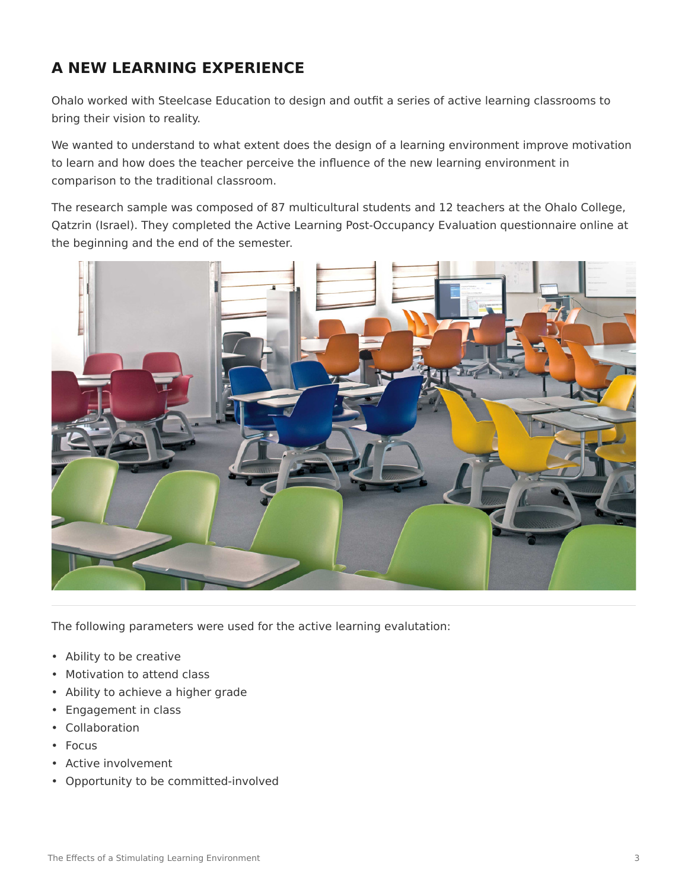### **A NEW LEARNING EXPERIENCE**

Ohalo worked with Steelcase Education to design and outfit a series of active learning classrooms to bring their vision to reality.

We wanted to understand to what extent does the design of a learning environment improve motivation to learn and how does the teacher perceive the influence of the new learning environment in comparison to the traditional classroom.

The research sample was composed of 87 multicultural students and 12 teachers at the Ohalo College, Qatzrin (Israel). They completed the Active Learning Post-Occupancy Evaluation questionnaire online at the beginning and the end of the semester.



The following parameters were used for the active learning evalutation:

- Ability to be creative
- Motivation to attend class
- Ability to achieve a higher grade
- Engagement in class
- Collaboration
- Focus
- Active involvement
- Opportunity to be committed-involved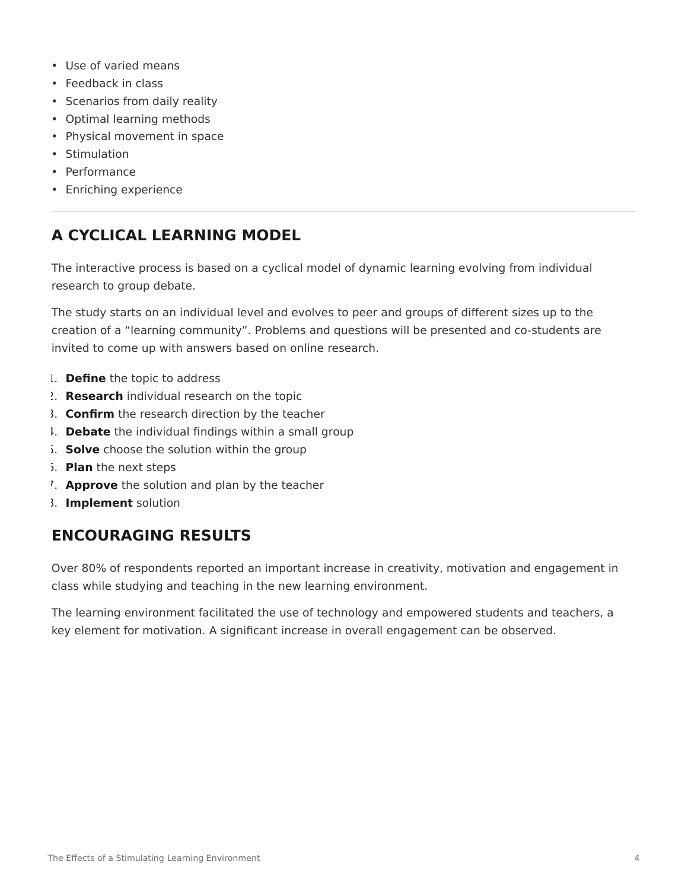- Use of varied means
- Feedback in class
- Scenarios from daily reality
- Optimal learning methods
- Physical movement in space
- Stimulation
- Performance
- Enriching experience

# **A CYCLICAL LEARNING MODEL**

The interactive process is based on a cyclical model of dynamic learning evolving from individual research to group debate.

The study starts on an individual level and evolves to peer and groups of different sizes up to the creation of a "learning community". Problems and questions will be presented and co-students are invited to come up with answers based on online research.

- 1. **Define** the topic to address
- 2. **Research** individual research on the topic
- 3. **Confirm** the research direction by the teacher
- 4. **Debate** the individual findings within a small group
- 5. **Solve** choose the solution within the group
- 6. **Plan** the next steps
- 7. **Approve** the solution and plan by the teacher
- 8. **Implement** solution

### **ENCOURAGING RESULTS**

Over 80% of respondents reported an important increase in creativity, motivation and engagement in class while studying and teaching in the new learning environment.

The learning environment facilitated the use of technology and empowered students and teachers, a key element for motivation. A significant increase in overall engagement can be observed.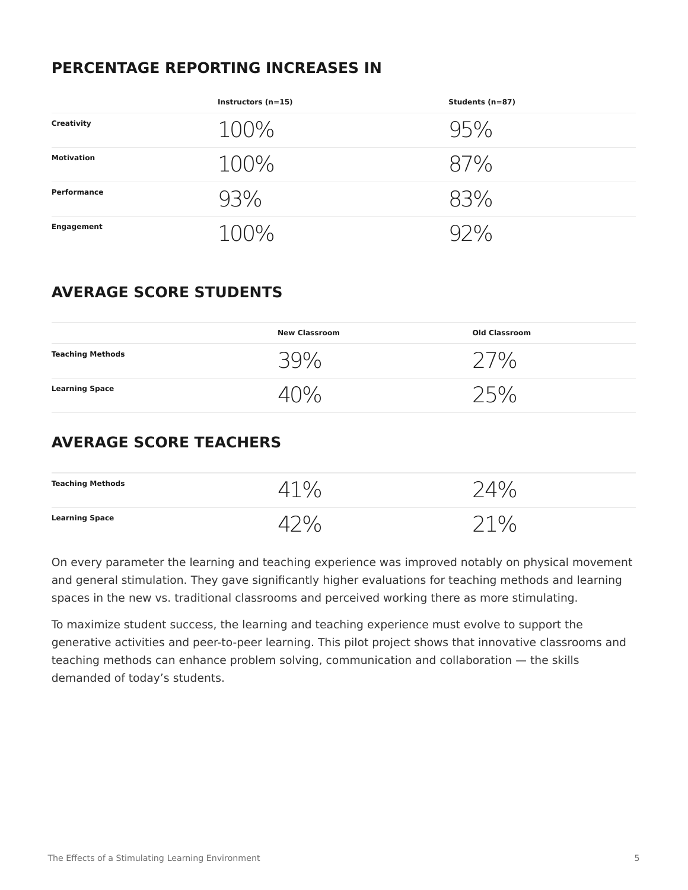#### **PERCENTAGE REPORTING INCREASES IN**

|                   | Instructors $(n=15)$  | Students (n=87) |
|-------------------|-----------------------|-----------------|
| Creativity        | $100\%$               | 95%             |
| <b>Motivation</b> | $100\%$               | 87%             |
| Performance       | 93%                   | 83%             |
| Engagement        | $1()$ ( $\frac{1}{6}$ |                 |

# **AVERAGE SCORE STUDENTS**

|                         | <b>New Classroom</b> | <b>Old Classroom</b> |
|-------------------------|----------------------|----------------------|
| <b>Teaching Methods</b> | 599,                 | 707                  |
| <b>Learning Space</b>   |                      | いにし                  |

# **AVERAGE SCORE TEACHERS**

| <b>Teaching Methods</b> | 0/2 | 10/2  |
|-------------------------|-----|-------|
| <b>Learning Space</b>   |     | 710/2 |

On every parameter the learning and teaching experience was improved notably on physical movement and general stimulation. They gave significantly higher evaluations for teaching methods and learning spaces in the new vs. traditional classrooms and perceived working there as more stimulating.

To maximize student success, the learning and teaching experience must evolve to support the generative activities and peer-to-peer learning. This pilot project shows that innovative classrooms and teaching methods can enhance problem solving, communication and collaboration — the skills demanded of today's students.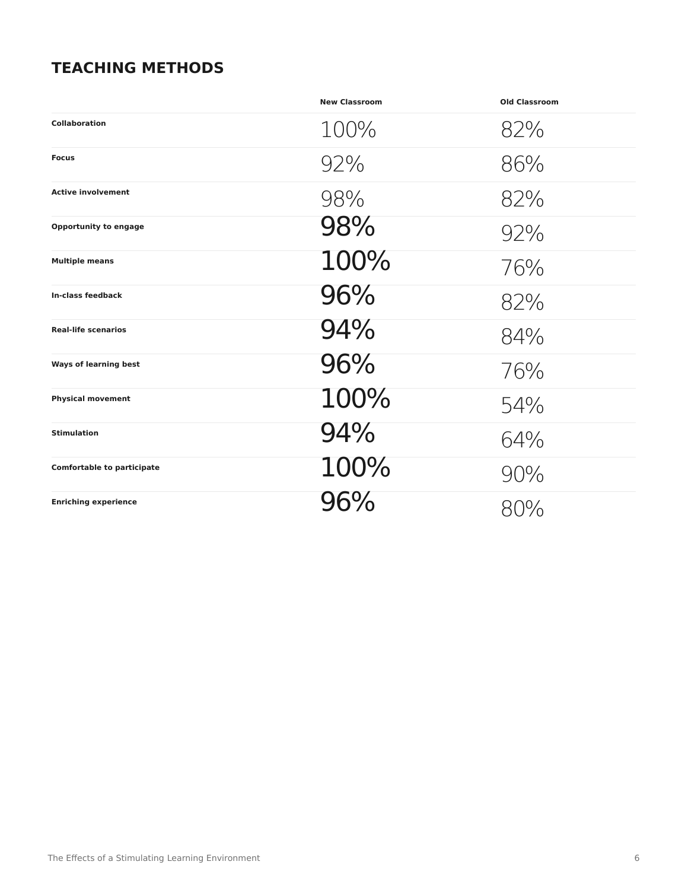#### **TEACHING METHODS**

|                                   | <b>New Classroom</b> | <b>Old Classroom</b> |
|-----------------------------------|----------------------|----------------------|
| Collaboration                     | 100%                 | 82%                  |
| <b>Focus</b>                      | 92%                  | 86%                  |
| <b>Active involvement</b>         | 98%                  | 82%                  |
| <b>Opportunity to engage</b>      | 98%                  | 92%                  |
| <b>Multiple means</b>             | 100%                 | 76%                  |
| In-class feedback                 | 96%                  | 82%                  |
| <b>Real-life scenarios</b>        | 94%                  | 84%                  |
| <b>Ways of learning best</b>      | 96%                  | 76%                  |
| <b>Physical movement</b>          | 100%                 | 54%                  |
| <b>Stimulation</b>                | 94%                  | 64%                  |
| <b>Comfortable to participate</b> | 100%                 | 90%                  |
| <b>Enriching experience</b>       | 96%                  | 80%                  |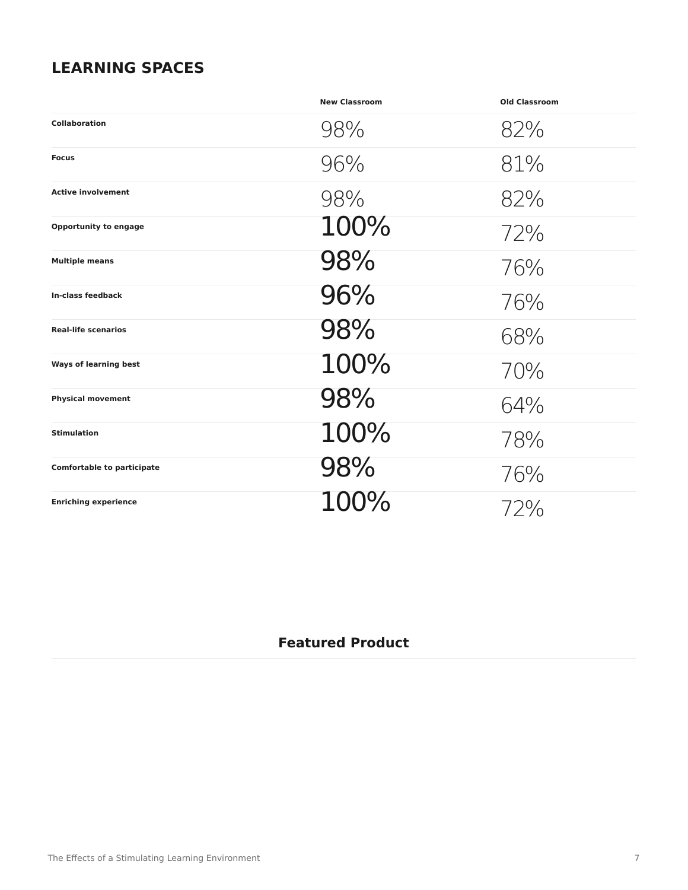#### **LEARNING SPACES**

|                                   | <b>New Classroom</b> | <b>Old Classroom</b> |
|-----------------------------------|----------------------|----------------------|
| <b>Collaboration</b>              | 98%                  | 82%                  |
| <b>Focus</b>                      | 96%                  | 81%                  |
| <b>Active involvement</b>         | 98%                  | 82%                  |
| <b>Opportunity to engage</b>      | 100%                 | 72%                  |
| <b>Multiple means</b>             | 98%                  | 76%                  |
| <b>In-class feedback</b>          | 96%                  | 76%                  |
| <b>Real-life scenarios</b>        | 98%                  | 68%                  |
| <b>Ways of learning best</b>      | 100%                 | 70%                  |
| <b>Physical movement</b>          | 98%                  | 64%                  |
| <b>Stimulation</b>                | 100%                 | 78%                  |
| <b>Comfortable to participate</b> | 98%                  | 76%                  |
| <b>Enriching experience</b>       | 100%                 | 72%                  |

#### **Featured Product**